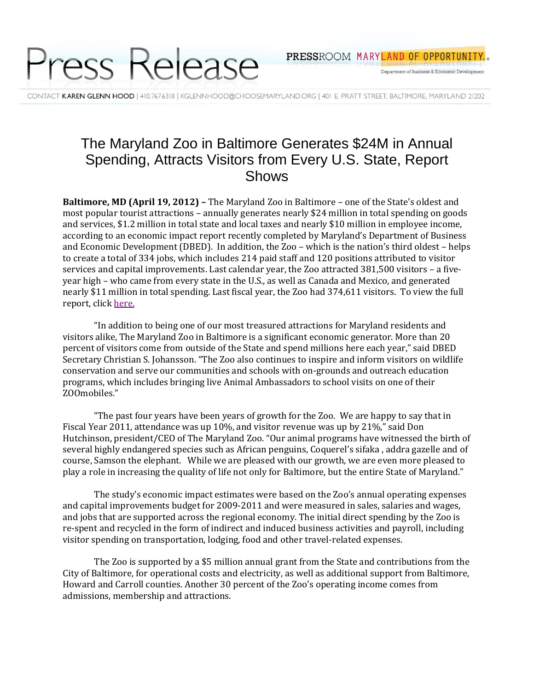

Department of Business & Economic Development

CONTACT KAREN GLENN HOOD | 410.767.6318 | KGLENNHOOD@CHOOSEMARYLAND.ORG | 401 E. PRATT STREET, BALTIMORE, MARYLAND 21202

## The Maryland Zoo in Baltimore Generates \$24M in Annual Spending, Attracts Visitors from Every U.S. State, Report Shows

**Baltimore, MD (April 19, 2012) –** The Maryland Zoo in Baltimore – one of the State's oldest and most popular tourist attractions – annually generates nearly \$24 million in total spending on goods and services, \$1.2 million in total state and local taxes and nearly \$10 million in employee income, according to an economic impact report recently completed by Maryland's Department of Business and Economic Development (DBED). In addition, the Zoo – which is the nation's third oldest – helps to create a total of 334 jobs, which includes 214 paid staff and 120 positions attributed to visitor services and capital improvements. Last calendar year, the Zoo attracted 381,500 visitors – a fiveyear high – who came from every state in the U.S., as well as Canada and Mexico, and generated nearly \$11 million in total spending. Last fiscal year, the Zoo had 374,611 visitors. To view the full report, clic[k here.](http://www.choosemaryland.org/aboutdbed/Documents/Publications/ZooImpactStudyFinal.pdf)

"In addition to being one of our most treasured attractions for Maryland residents and visitors alike, The Maryland Zoo in Baltimore is a significant economic generator. More than 20 percent of visitors come from outside of the State and spend millions here each year," said DBED Secretary Christian S. Johansson. "The Zoo also continues to inspire and inform visitors on wildlife conservation and serve our communities and schools with on-grounds and outreach education programs, which includes bringing live Animal Ambassadors to school visits on one of their ZOOmobiles."

"The past four years have been years of growth for the Zoo. We are happy to say that in Fiscal Year 2011, attendance was up 10%, and visitor revenue was up by 21%," said Don Hutchinson, president/CEO of The Maryland Zoo. "Our animal programs have witnessed the birth of several highly endangered species such as African penguins, Coquerel's sifaka , addra gazelle and of course, Samson the elephant. While we are pleased with our growth, we are even more pleased to play a role in increasing the quality of life not only for Baltimore, but the entire State of Maryland."

The study's economic impact estimates were based on the Zoo's annual operating expenses and capital improvements budget for 2009-2011 and were measured in sales, salaries and wages, and jobs that are supported across the regional economy. The initial direct spending by the Zoo is re-spent and recycled in the form of indirect and induced business activities and payroll, including visitor spending on transportation, lodging, food and other travel-related expenses.

The Zoo is supported by a \$5 million annual grant from the State and contributions from the City of Baltimore, for operational costs and electricity, as well as additional support from Baltimore, Howard and Carroll counties. Another 30 percent of the Zoo's operating income comes from admissions, membership and attractions.